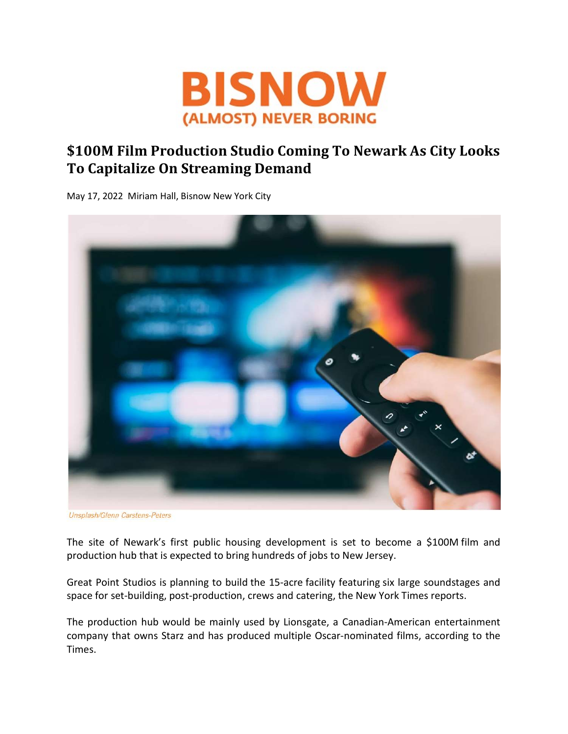

## \$100M Film Production Studio Coming To Newark As City Looks To Capitalize On Streaming Demand

May 17, 2022 Miriam Hall, Bisnow New York City



Unsplash/Glenn Carstens-Peters

The site of Newark's first public housing development is set to become a \$100M film and production hub that is expected to bring hundreds of jobs to New Jersey.

Great Point Studios is planning to build the 15-acre facility featuring six large soundstages and space for set-building, post-production, crews and catering, the New York Times reports.

The production hub would be mainly used by Lionsgate, a Canadian-American entertainment company that owns Starz and has produced multiple Oscar-nominated films, according to the Times.